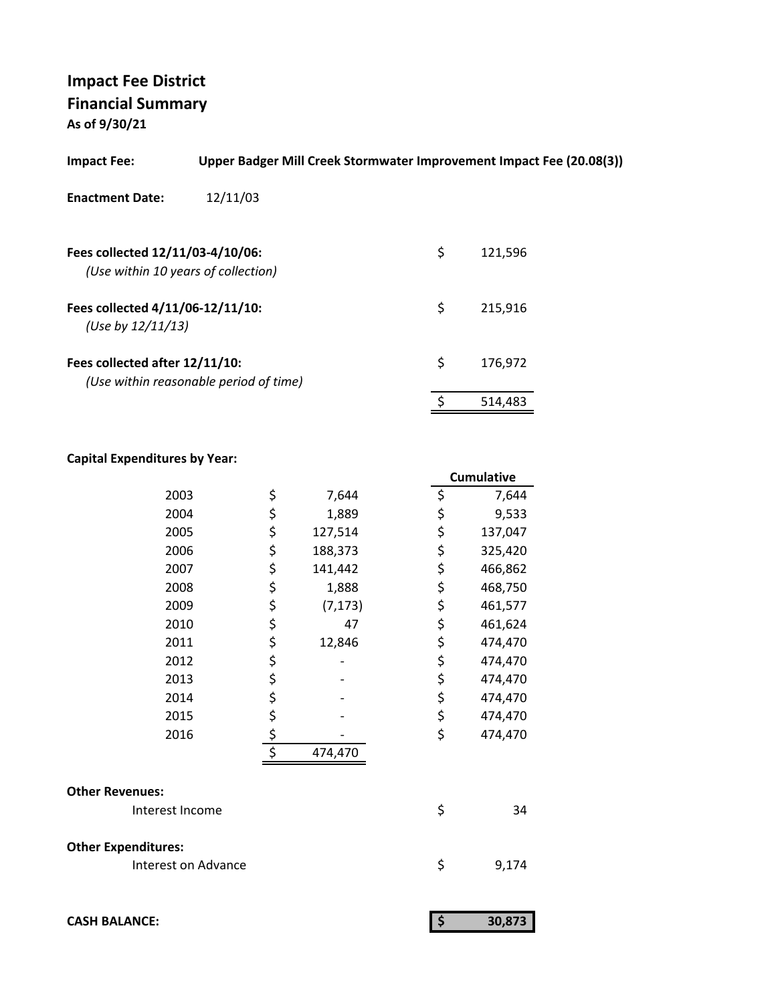**As of 9/30/21**

| <b>Impact Fee:</b>                                                      | Upper Badger Mill Creek Stormwater Improvement Impact Fee (20.08(3)) |               |
|-------------------------------------------------------------------------|----------------------------------------------------------------------|---------------|
| <b>Enactment Date:</b>                                                  | 12/11/03                                                             |               |
| Fees collected 12/11/03-4/10/06:<br>(Use within 10 years of collection) |                                                                      | \$<br>121,596 |
| Fees collected 4/11/06-12/11/10:<br>(Use by $12/11/13$ )                |                                                                      | \$<br>215.916 |
| Fees collected after 12/11/10:                                          | (Use within reasonable period of time)                               | \$<br>176.972 |
|                                                                         |                                                                      | 514,483       |

#### **Capital Expenditures by Year:**

|                            |                  |          | <b>Cumulative</b> |
|----------------------------|------------------|----------|-------------------|
| 2003                       | \$               | 7,644    | \$<br>7,644       |
| 2004                       | \$               | 1,889    | \$<br>9,533       |
| 2005                       | \$               | 127,514  | \$<br>137,047     |
| 2006                       | \$               | 188,373  | \$<br>325,420     |
| 2007                       | \$               | 141,442  | \$<br>466,862     |
| 2008                       | \$               | 1,888    | \$<br>468,750     |
| 2009                       | \$               | (7, 173) | \$<br>461,577     |
| 2010                       | \$               | 47       | \$<br>461,624     |
| 2011                       | \$               | 12,846   | \$<br>474,470     |
| 2012                       | \$               |          | \$<br>474,470     |
| 2013                       | \$               |          | \$<br>474,470     |
| 2014                       | \$               |          | \$<br>474,470     |
| 2015                       | \$               |          | \$<br>474,470     |
| 2016                       | \$               |          | \$<br>474,470     |
|                            | $\overline{\xi}$ | 474,470  |                   |
| <b>Other Revenues:</b>     |                  |          |                   |
| Interest Income            |                  |          | \$<br>34          |
| <b>Other Expenditures:</b> |                  |          |                   |
| Interest on Advance        |                  |          | \$<br>9,174       |
|                            |                  |          |                   |
|                            |                  |          |                   |

| <b>CASH BALANCE:</b> |  |  | 30.873 |
|----------------------|--|--|--------|
|----------------------|--|--|--------|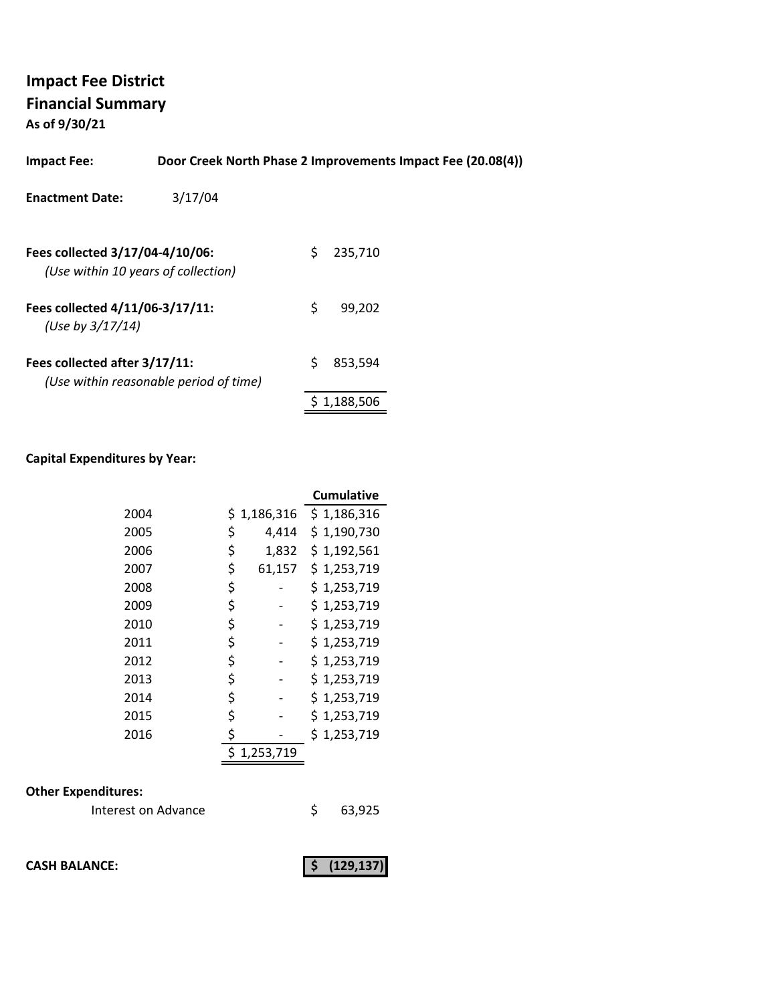**As of 9/30/21**

| <b>Impact Fee:</b>                                                     |                                        |    | Door Creek North Phase 2 Improvements Impact Fee (20.08(4)) |  |
|------------------------------------------------------------------------|----------------------------------------|----|-------------------------------------------------------------|--|
| <b>Enactment Date:</b>                                                 | 3/17/04                                |    |                                                             |  |
| Fees collected 3/17/04-4/10/06:<br>(Use within 10 years of collection) |                                        | S  | 235,710                                                     |  |
| Fees collected 4/11/06-3/17/11:<br>(Use by $3/17/14$ )                 |                                        | \$ | 99.202                                                      |  |
| Fees collected after 3/17/11:                                          | (Use within reasonable period of time) | S  | 853.594                                                     |  |

#### **Capital Expenditures by Year:**

|      |              | <b>Cumulative</b> |
|------|--------------|-------------------|
| 2004 | \$1,186,316  | \$1,186,316       |
| 2005 | \$<br>4,414  | \$1,190,730       |
| 2006 | \$<br>1,832  | \$1,192,561       |
| 2007 | \$<br>61,157 | \$1,253,719       |
| 2008 | \$           | \$1,253,719       |
| 2009 | \$           | \$1,253,719       |
| 2010 | \$           | \$1,253,719       |
| 2011 | \$           | \$1,253,719       |
| 2012 | \$           | \$1,253,719       |
| 2013 | \$           | \$1,253,719       |
| 2014 | \$           | \$1,253,719       |
| 2015 | \$           | \$1,253,719       |
| 2016 | \$           | \$1,253,719       |
|      | 1,253,719    |                   |

## **Other Expenditures:**

| Interest on Advance |  | 63,925 |
|---------------------|--|--------|
|---------------------|--|--------|

**CASH BALANCE:** (129,137)

\$ 1,188,506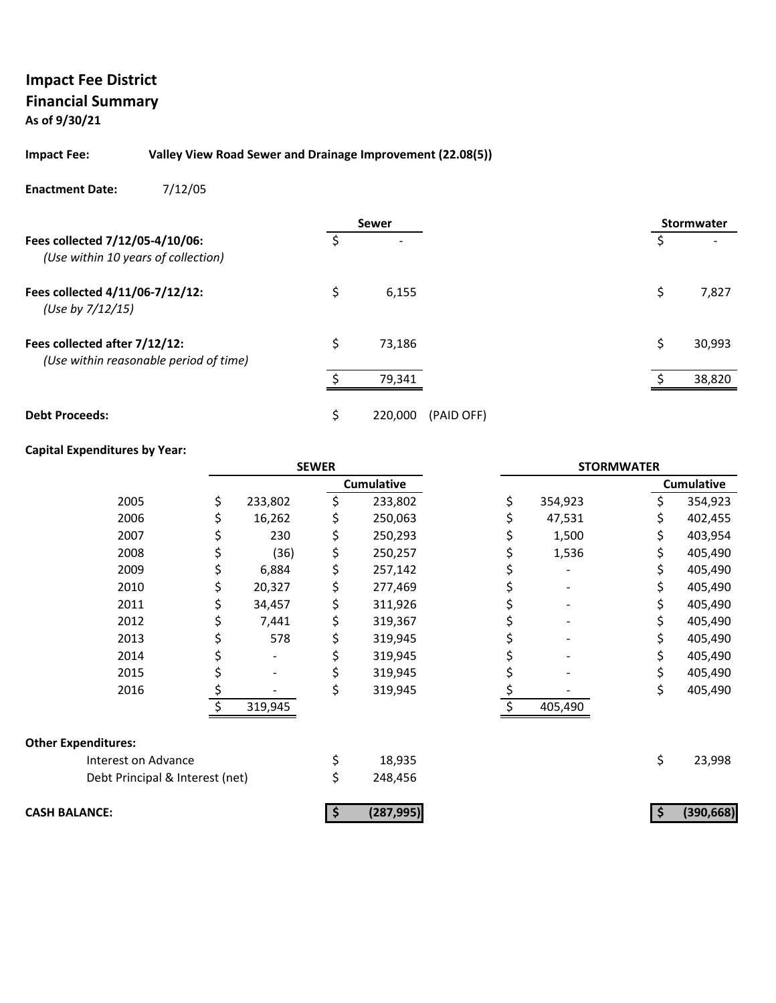**As of 9/30/21**

#### **Impact Fee: Valley View Road Sewer and Drainage Improvement (22.08(5))**

**Enactment Date:** 7/12/05

|                                                                         |     | <b>Sewer</b> |            |    | <b>Stormwater</b> |
|-------------------------------------------------------------------------|-----|--------------|------------|----|-------------------|
| Fees collected 7/12/05-4/10/06:<br>(Use within 10 years of collection)  | \$. |              |            |    |                   |
| Fees collected 4/11/06-7/12/12:<br>(Use by 7/12/15)                     | \$  | 6,155        |            | \$ | 7,827             |
| Fees collected after 7/12/12:<br>(Use within reasonable period of time) | \$  | 73,186       |            | Ś. | 30,993            |
|                                                                         | ÷   | 79,341       |            |    | 38,820            |
| <b>Debt Proceeds:</b>                                                   | \$  | 220,000      | (PAID OFF) |    |                   |

## **Capital Expenditures by Year:**

|                                 | <b>SEWER</b> |         |    |                   | <b>STORMWATER</b> |    |                   |
|---------------------------------|--------------|---------|----|-------------------|-------------------|----|-------------------|
|                                 |              |         |    | <b>Cumulative</b> |                   |    | <b>Cumulative</b> |
| 2005                            | \$           | 233,802 | \$ | 233,802           | \$<br>354,923     | S  | 354,923           |
| 2006                            |              | 16,262  |    | 250,063           | 47,531            |    | 402,455           |
| 2007                            |              | 230     | \$ | 250,293           | 1,500             | \$ | 403,954           |
| 2008                            |              | (36)    | \$ | 250,257           | 1,536             | \$ | 405,490           |
| 2009                            |              | 6,884   | \$ | 257,142           |                   | \$ | 405,490           |
| 2010                            |              | 20,327  | \$ | 277,469           |                   |    | 405,490           |
| 2011                            |              | 34,457  | \$ | 311,926           |                   | Ś  | 405,490           |
| 2012                            |              | 7,441   | \$ | 319,367           |                   |    | 405,490           |
| 2013                            |              | 578     | \$ | 319,945           |                   | \$ | 405,490           |
| 2014                            |              |         |    | 319,945           |                   |    | 405,490           |
| 2015                            |              |         | \$ | 319,945           |                   |    | 405,490           |
| 2016                            | \$           |         | \$ | 319,945           |                   | \$ | 405,490           |
|                                 |              | 319,945 |    |                   | 405,490           |    |                   |
| <b>Other Expenditures:</b>      |              |         |    |                   |                   |    |                   |
| Interest on Advance             |              |         | \$ | 18,935            |                   | \$ | 23,998            |
| Debt Principal & Interest (net) |              |         | \$ | 248,456           |                   |    |                   |
| <b>CASH BALANCE:</b>            |              |         |    | (287, 995)        |                   |    | (390, 668)        |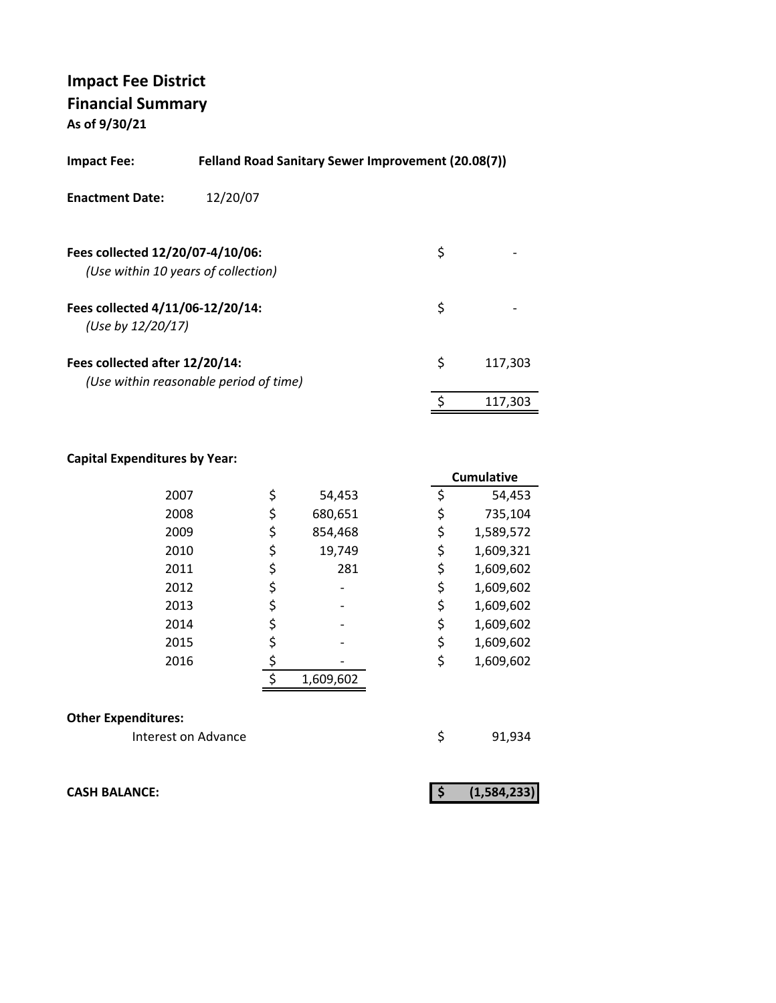**As of 9/30/21**

| <b>Felland Road Sanitary Sewer Improvement (20.08(7))</b><br>Impact Fee: |                                        |    |         |  |
|--------------------------------------------------------------------------|----------------------------------------|----|---------|--|
| <b>Enactment Date:</b>                                                   | 12/20/07                               |    |         |  |
| Fees collected 12/20/07-4/10/06:                                         | (Use within 10 years of collection)    | \$ |         |  |
| Fees collected 4/11/06-12/20/14:<br>(Use by 12/20/17)                    |                                        | \$ |         |  |
| Fees collected after 12/20/14:                                           | (Use within reasonable period of time) | \$ | 117,303 |  |
|                                                                          |                                        | \$ | 117.303 |  |

### **Capital Expenditures by Year:**

|      |               |    | <b>Cumulative</b> |
|------|---------------|----|-------------------|
| 2007 | \$<br>54,453  | \$ | 54,453            |
| 2008 | \$<br>680,651 |    | 735,104           |
| 2009 | \$<br>854,468 | \$ | 1,589,572         |
| 2010 | \$<br>19,749  | \$ | 1,609,321         |
| 2011 | \$<br>281     | \$ | 1,609,602         |
| 2012 | \$            | \$ | 1,609,602         |
| 2013 |               | \$ | 1,609,602         |
| 2014 | \$            | \$ | 1,609,602         |
| 2015 |               | \$ | 1,609,602         |
| 2016 |               | \$ | 1,609,602         |
|      | 1,609,602     |    |                   |
|      |               |    |                   |

#### **Other Expenditures:**

Interest on Advance **1998** \$91,934

**CASH BALANCE: (1,584,233) \$**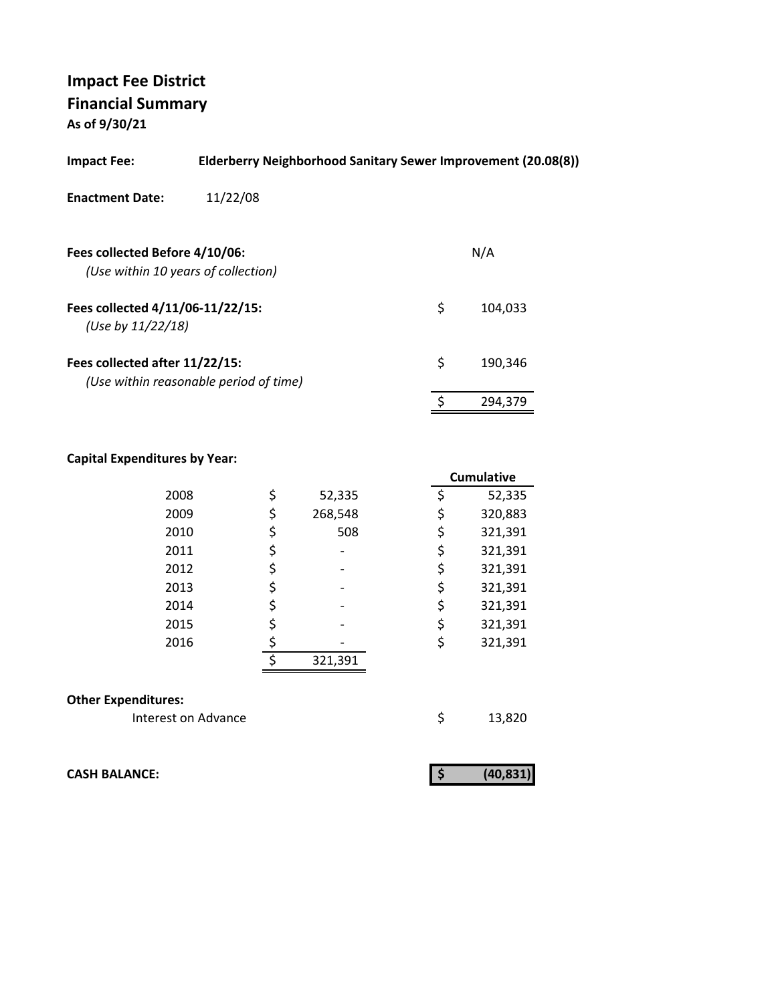**As of 9/30/21**

| <b>Impact Fee:</b>                                                    | Elderberry Neighborhood Sanitary Sewer Improvement (20.08(8)) |    |         |  |  |
|-----------------------------------------------------------------------|---------------------------------------------------------------|----|---------|--|--|
| <b>Enactment Date:</b>                                                | 11/22/08                                                      |    |         |  |  |
| Fees collected Before 4/10/06:<br>(Use within 10 years of collection) |                                                               |    | N/A     |  |  |
| Fees collected 4/11/06-11/22/15:<br>(Use by 11/22/18)                 |                                                               | \$ | 104.033 |  |  |
| Fees collected after 11/22/15:                                        | (Use within reasonable period of time)                        | \$ | 190,346 |  |  |
|                                                                       |                                                               |    | 294,379 |  |  |
|                                                                       |                                                               |    |         |  |  |

## **Capital Expenditures by Year:**

|                            |    |         | <b>Cumulative</b> |
|----------------------------|----|---------|-------------------|
| 2008                       | \$ | 52,335  | \$<br>52,335      |
| 2009                       | \$ | 268,548 | \$<br>320,883     |
| 2010                       | \$ | 508     | \$<br>321,391     |
| 2011                       | \$ |         | \$<br>321,391     |
| 2012                       | \$ |         | \$<br>321,391     |
| 2013                       | \$ |         | \$<br>321,391     |
| 2014                       | \$ |         | \$<br>321,391     |
| 2015                       | \$ |         | \$<br>321,391     |
| 2016                       | \$ |         | \$<br>321,391     |
|                            | ¢  | 321,391 |                   |
| <b>Other Expenditures:</b> |    |         |                   |
| Interest on Advance        |    |         | \$<br>13,820      |

**CASH BALANCE:**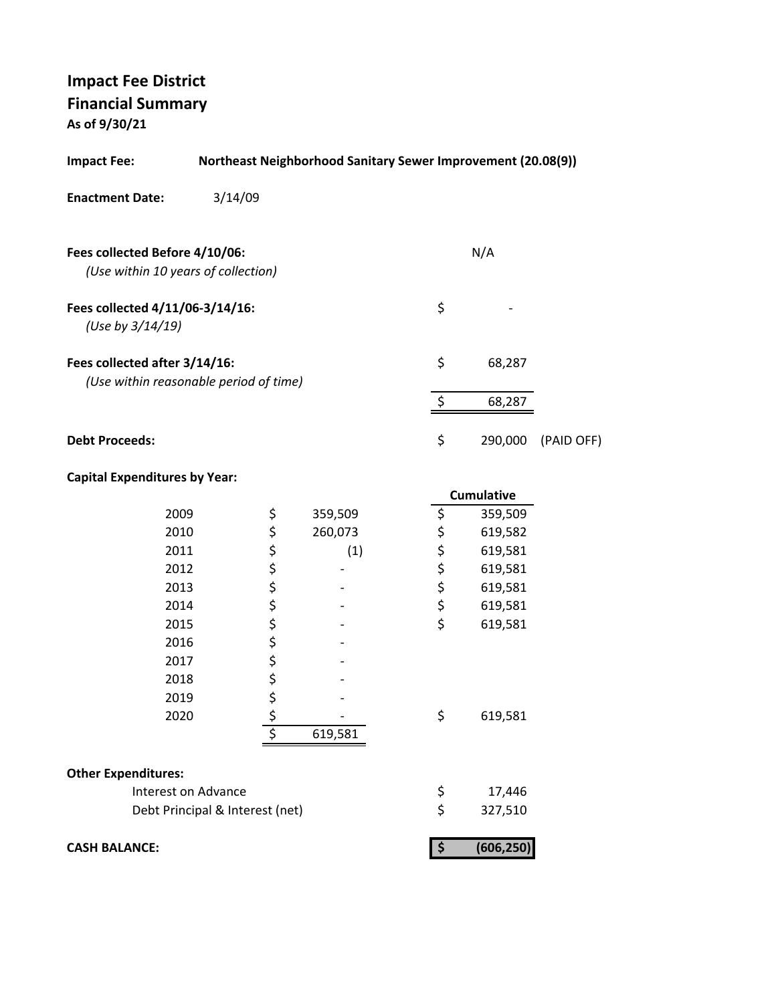**As of 9/30/21**

| <b>Impact Fee:</b>                                                      |                                 | <b>Northeast Neighborhood Sanitary Sewer Improvement (20.08(9))</b> |                           |                   |            |
|-------------------------------------------------------------------------|---------------------------------|---------------------------------------------------------------------|---------------------------|-------------------|------------|
| <b>Enactment Date:</b>                                                  | 3/14/09                         |                                                                     |                           |                   |            |
| Fees collected Before 4/10/06:<br>(Use within 10 years of collection)   |                                 |                                                                     |                           | N/A               |            |
| Fees collected 4/11/06-3/14/16:<br>(Use by 3/14/19)                     |                                 |                                                                     | \$                        |                   |            |
| Fees collected after 3/14/16:<br>(Use within reasonable period of time) |                                 |                                                                     | \$                        | 68,287            |            |
|                                                                         |                                 |                                                                     | \$                        | 68,287            |            |
| <b>Debt Proceeds:</b>                                                   |                                 |                                                                     | \$                        | 290,000           | (PAID OFF) |
| <b>Capital Expenditures by Year:</b>                                    |                                 |                                                                     |                           | <b>Cumulative</b> |            |
| 2009                                                                    | \$                              | 359,509                                                             | \$                        | 359,509           |            |
| 2010                                                                    |                                 | 260,073                                                             | \$                        | 619,582           |            |
| 2011                                                                    | ぐうさくさい                          | (1)                                                                 |                           | 619,581           |            |
| 2012                                                                    |                                 |                                                                     | \$\$\$                    | 619,581           |            |
| 2013                                                                    |                                 |                                                                     |                           | 619,581           |            |
| 2014                                                                    |                                 |                                                                     | \$                        | 619,581           |            |
| 2015                                                                    |                                 |                                                                     | \$                        | 619,581           |            |
| 2016                                                                    |                                 |                                                                     |                           |                   |            |
| 2017                                                                    |                                 |                                                                     |                           |                   |            |
| 2018                                                                    |                                 |                                                                     |                           |                   |            |
| 2019                                                                    | \$                              |                                                                     |                           |                   |            |
| 2020                                                                    | <u>\$</u>                       |                                                                     | \$                        | 619,581           |            |
|                                                                         | \$                              | 619,581                                                             |                           |                   |            |
| <b>Other Expenditures:</b>                                              |                                 |                                                                     |                           |                   |            |
| Interest on Advance                                                     |                                 |                                                                     |                           | 17,446            |            |
|                                                                         | Debt Principal & Interest (net) |                                                                     | \$<br>\$                  | 327,510           |            |
| <b>CASH BALANCE:</b>                                                    |                                 |                                                                     | $\boldsymbol{\mathsf{S}}$ | (606, 250)        |            |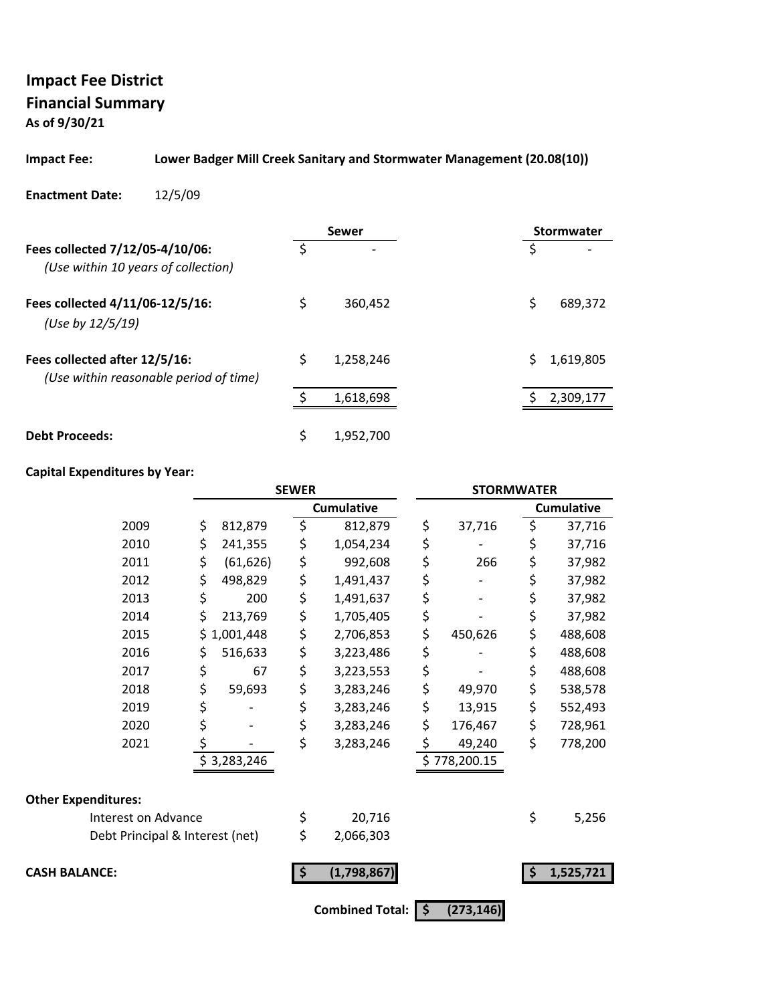**As of 9/30/21**

#### **Impact Fee: Lower Badger Mill Creek Sanitary and Stormwater Management (20.08(10))**

#### **Enactment Date:** 12/5/09

|                                                                         |    | Sewer                    | <b>Stormwater</b> |
|-------------------------------------------------------------------------|----|--------------------------|-------------------|
| Fees collected 7/12/05-4/10/06:<br>(Use within 10 years of collection)  | Š. | $\overline{\phantom{a}}$ | S                 |
| Fees collected 4/11/06-12/5/16:<br>(Use by 12/5/19)                     | \$ | 360,452                  | Ś<br>689,372      |
| Fees collected after 12/5/16:<br>(Use within reasonable period of time) | Ś  | 1,258,246                | 1,619,805         |
|                                                                         |    | 1,618,698                | 2,309,177         |
| <b>Debt Proceeds:</b>                                                   | \$ | 1,952,700                |                   |

#### **Capital Expenditures by Year:**

|                                 |                 | <b>SEWER</b>       |                        |    | <b>STORMWATER</b> |    |                   |  |
|---------------------------------|-----------------|--------------------|------------------------|----|-------------------|----|-------------------|--|
|                                 |                 |                    | <b>Cumulative</b>      |    |                   |    | <b>Cumulative</b> |  |
| 2009                            | \$<br>812,879   | \$                 | 812,879                | \$ | 37,716            | \$ | 37,716            |  |
| 2010                            | \$<br>241,355   | \$                 | 1,054,234              | \$ |                   | \$ | 37,716            |  |
| 2011                            | \$<br>(61, 626) | \$                 | 992,608                | \$ | 266               | \$ | 37,982            |  |
| 2012                            | \$<br>498,829   | \$                 | 1,491,437              | \$ |                   | \$ | 37,982            |  |
| 2013                            | \$<br>200       | \$                 | 1,491,637              | \$ |                   | \$ | 37,982            |  |
| 2014                            | \$<br>213,769   | \$                 | 1,705,405              | \$ |                   | \$ | 37,982            |  |
| 2015                            | \$<br>1,001,448 | \$                 | 2,706,853              | \$ | 450,626           | \$ | 488,608           |  |
| 2016                            | \$<br>516,633   | \$                 | 3,223,486              | \$ |                   | \$ | 488,608           |  |
| 2017                            | \$<br>67        | \$                 | 3,223,553              | \$ |                   | \$ | 488,608           |  |
| 2018                            | \$<br>59,693    | \$                 | 3,283,246              | \$ | 49,970            | \$ | 538,578           |  |
| 2019                            | \$              | \$                 | 3,283,246              | \$ | 13,915            | \$ | 552,493           |  |
| 2020                            | \$              | \$                 | 3,283,246              | \$ | 176,467           | \$ | 728,961           |  |
| 2021                            | \$              | \$                 | 3,283,246              | \$ | 49,240            | \$ | 778,200           |  |
|                                 | \$3,283,246     |                    |                        |    | \$778,200.15      |    |                   |  |
| <b>Other Expenditures:</b>      |                 |                    |                        |    |                   |    |                   |  |
| Interest on Advance             |                 | \$                 | 20,716                 |    |                   | \$ | 5,256             |  |
| Debt Principal & Interest (net) |                 | \$                 | 2,066,303              |    |                   |    |                   |  |
| <b>CASH BALANCE:</b>            |                 | $\dot{\mathsf{s}}$ | (1,798,867)            |    |                   | \$ | 1,525,721         |  |
|                                 |                 |                    | <b>Combined Total:</b> | \$ | (273, 146)        |    |                   |  |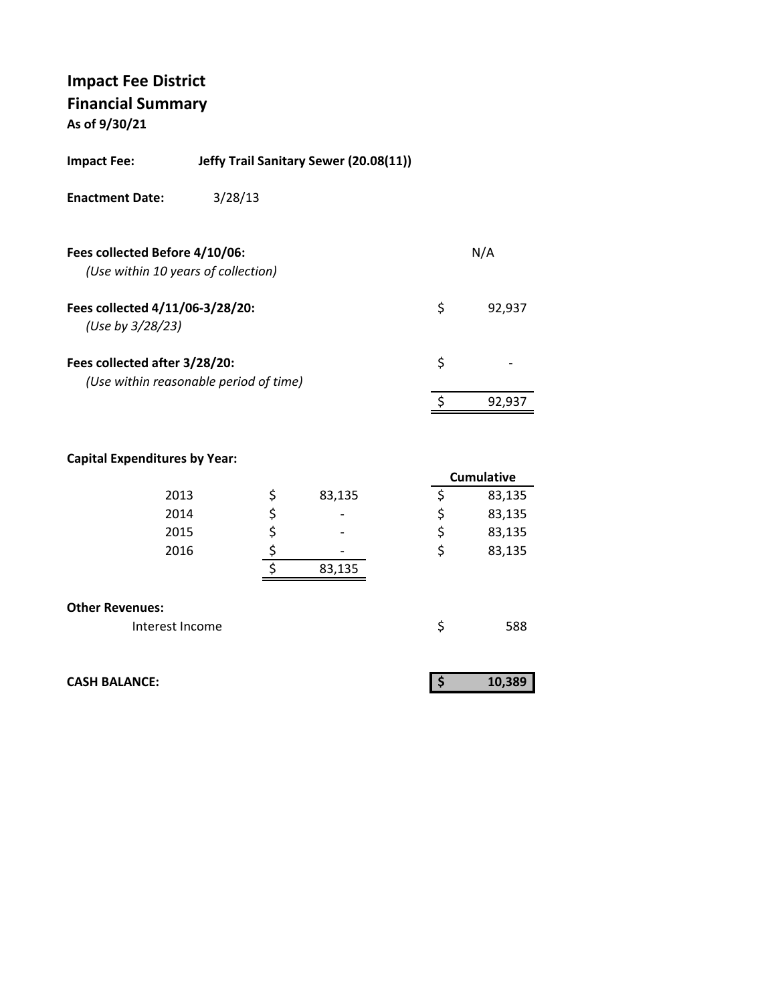**As of 9/30/21**

| <b>Impact Fee:</b>                                  | Jeffy Trail Sanitary Sewer (20.08(11)) |    |        |
|-----------------------------------------------------|----------------------------------------|----|--------|
| <b>Enactment Date:</b>                              | 3/28/13                                |    |        |
| Fees collected Before 4/10/06:                      | (Use within 10 years of collection)    |    | N/A    |
| Fees collected 4/11/06-3/28/20:<br>(Use by 3/28/23) |                                        | \$ | 92,937 |
| Fees collected after 3/28/20:                       | (Use within reasonable period of time) | \$ |        |
|                                                     |                                        | ¢  | 92,937 |
|                                                     |                                        |    |        |

#### **Capital Expenditures by Year:**

|                        |              | <b>Cumulative</b> |
|------------------------|--------------|-------------------|
| 2013                   | \$<br>83,135 | 83,135            |
| 2014                   | \$           | \$<br>83,135      |
| 2015                   |              | \$<br>83,135      |
| 2016                   |              | \$<br>83,135      |
|                        | 83,135       |                   |
| <b>Other Revenues:</b> |              |                   |
| Interest Income        |              | 588               |

| <b>CASH BALANCE:</b> |  |
|----------------------|--|

| 1U |
|----|
|----|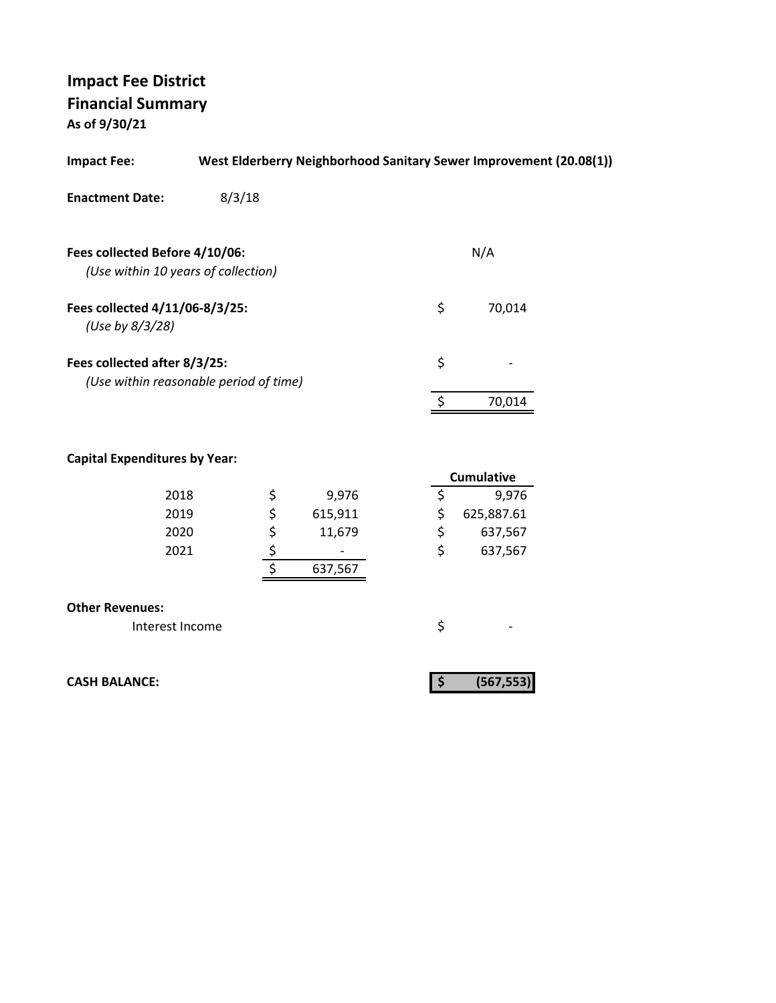**As of 9/30/21**

| <b>Impact Fee:</b>                                                    |        |            |         |    | West Elderberry Neighborhood Sanitary Sewer Improvement (20.08(1)) |  |
|-----------------------------------------------------------------------|--------|------------|---------|----|--------------------------------------------------------------------|--|
| <b>Enactment Date:</b>                                                | 8/3/18 |            |         |    |                                                                    |  |
|                                                                       |        |            |         |    |                                                                    |  |
| Fees collected Before 4/10/06:<br>(Use within 10 years of collection) |        |            |         |    | N/A                                                                |  |
| Fees collected 4/11/06-8/3/25:                                        |        |            |         | \$ | 70,014                                                             |  |
| (Use by 8/3/28)                                                       |        |            |         |    |                                                                    |  |
| Fees collected after 8/3/25:                                          |        |            |         | \$ |                                                                    |  |
| (Use within reasonable period of time)                                |        |            |         |    |                                                                    |  |
|                                                                       |        |            |         | \$ | 70,014                                                             |  |
|                                                                       |        |            |         |    |                                                                    |  |
| <b>Capital Expenditures by Year:</b>                                  |        |            |         |    | <b>Cumulative</b>                                                  |  |
| 2018                                                                  |        |            | 9,976   | \$ | 9,976                                                              |  |
| 2019                                                                  |        | \$\$\$\$\$ | 615,911 | \$ | 625,887.61                                                         |  |
| 2020                                                                  |        |            | 11,679  | \$ | 637,567                                                            |  |
| 2021                                                                  |        |            |         | \$ | 637,567                                                            |  |
|                                                                       |        |            | 637,567 |    |                                                                    |  |
| <b>Other Revenues:</b>                                                |        |            |         |    |                                                                    |  |
| Interest Income                                                       |        |            |         | \$ |                                                                    |  |
|                                                                       |        |            |         |    |                                                                    |  |
| <b>CASH BALANCE:</b>                                                  |        |            |         | \$ | (567, 553)                                                         |  |